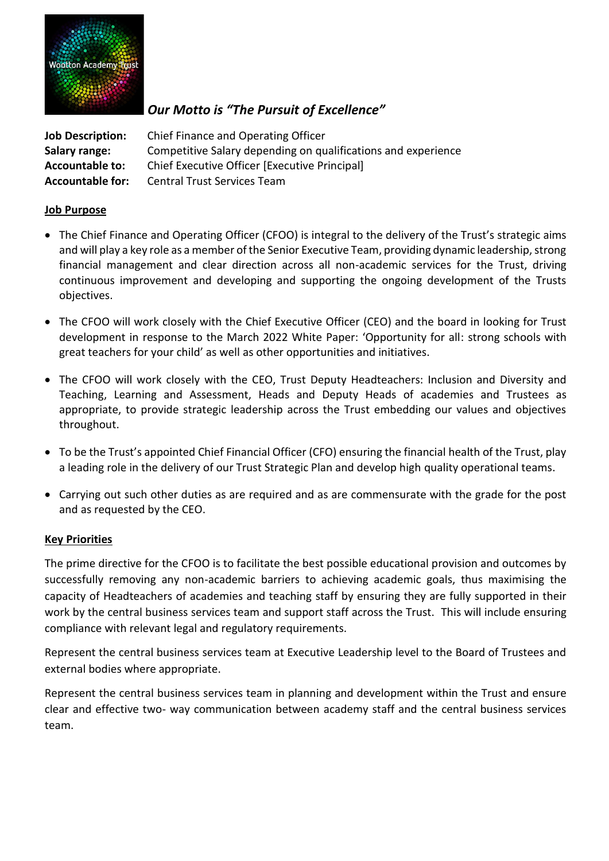

# *Our Motto is "The Pursuit of Excellence"*

**Job Description:** Chief Finance and Operating Officer **Salary range:** Competitive Salary depending on qualifications and experience **Accountable to:** Chief Executive Officer [Executive Principal] **Accountable for:** Central Trust Services Team

#### **Job Purpose**

- The Chief Finance and Operating Officer (CFOO) is integral to the delivery of the Trust's strategic aims and will play a key role as a member of the Senior Executive Team, providing dynamic leadership, strong financial management and clear direction across all non-academic services for the Trust, driving continuous improvement and developing and supporting the ongoing development of the Trusts objectives.
- The CFOO will work closely with the Chief Executive Officer (CEO) and the board in looking for Trust development in response to the March 2022 White Paper: 'Opportunity for all: strong schools with great teachers for your child' as well as other opportunities and initiatives.
- The CFOO will work closely with the CEO, Trust Deputy Headteachers: Inclusion and Diversity and Teaching, Learning and Assessment, Heads and Deputy Heads of academies and Trustees as appropriate, to provide strategic leadership across the Trust embedding our values and objectives throughout.
- To be the Trust's appointed Chief Financial Officer (CFO) ensuring the financial health of the Trust, play a leading role in the delivery of our Trust Strategic Plan and develop high quality operational teams.
- Carrying out such other duties as are required and as are commensurate with the grade for the post and as requested by the CEO.

#### **Key Priorities**

The prime directive for the CFOO is to facilitate the best possible educational provision and outcomes by successfully removing any non-academic barriers to achieving academic goals, thus maximising the capacity of Headteachers of academies and teaching staff by ensuring they are fully supported in their work by the central business services team and support staff across the Trust. This will include ensuring compliance with relevant legal and regulatory requirements.

Represent the central business services team at Executive Leadership level to the Board of Trustees and external bodies where appropriate.

Represent the central business services team in planning and development within the Trust and ensure clear and effective two- way communication between academy staff and the central business services team.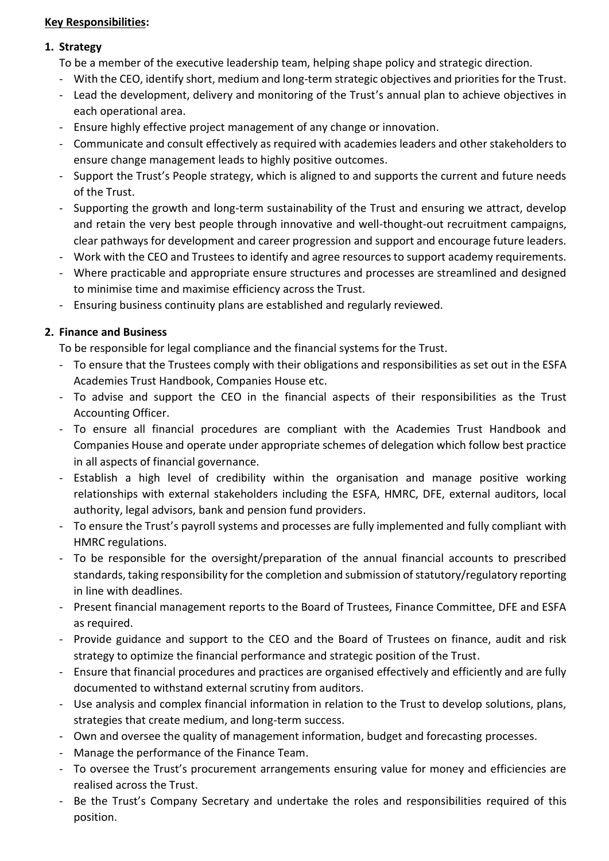#### **Key Responsibilities:**

#### **1. Strategy**

To be a member of the executive leadership team, helping shape policy and strategic direction.

- With the CEO, identify short, medium and long-term strategic objectives and priorities for the Trust.
- Lead the development, delivery and monitoring of the Trust's annual plan to achieve objectives in each operational area.
- Ensure highly effective project management of any change or innovation.
- Communicate and consult effectively as required with academies leaders and other stakeholders to ensure change management leads to highly positive outcomes.
- Support the Trust's People strategy, which is aligned to and supports the current and future needs of the Trust.
- Supporting the growth and long-term sustainability of the Trust and ensuring we attract, develop and retain the very best people through innovative and well-thought-out recruitment campaigns, clear pathways for development and career progression and support and encourage future leaders.
- Work with the CEO and Trustees to identify and agree resources to support academy requirements.
- Where practicable and appropriate ensure structures and processes are streamlined and designed to minimise time and maximise efficiency across the Trust.
- Ensuring business continuity plans are established and regularly reviewed.

## **2. Finance and Business**

To be responsible for legal compliance and the financial systems for the Trust.

- To ensure that the Trustees comply with their obligations and responsibilities as set out in the ESFA Academies Trust Handbook, Companies House etc.
- To advise and support the CEO in the financial aspects of their responsibilities as the Trust Accounting Officer.
- To ensure all financial procedures are compliant with the Academies Trust Handbook and Companies House and operate under appropriate schemes of delegation which follow best practice in all aspects of financial governance.
- Establish a high level of credibility within the organisation and manage positive working relationships with external stakeholders including the ESFA, HMRC, DFE, external auditors, local authority, legal advisors, bank and pension fund providers.
- To ensure the Trust's payroll systems and processes are fully implemented and fully compliant with HMRC regulations.
- To be responsible for the oversight/preparation of the annual financial accounts to prescribed standards, taking responsibility for the completion and submission of statutory/regulatory reporting in line with deadlines.
- Present financial management reports to the Board of Trustees, Finance Committee, DFE and ESFA as required.
- Provide guidance and support to the CEO and the Board of Trustees on finance, audit and risk strategy to optimize the financial performance and strategic position of the Trust.
- Ensure that financial procedures and practices are organised effectively and efficiently and are fully documented to withstand external scrutiny from auditors.
- Use analysis and complex financial information in relation to the Trust to develop solutions, plans, strategies that create medium, and long-term success.
- Own and oversee the quality of management information, budget and forecasting processes.
- Manage the performance of the Finance Team.
- To oversee the Trust's procurement arrangements ensuring value for money and efficiencies are realised across the Trust.
- Be the Trust's Company Secretary and undertake the roles and responsibilities required of this position.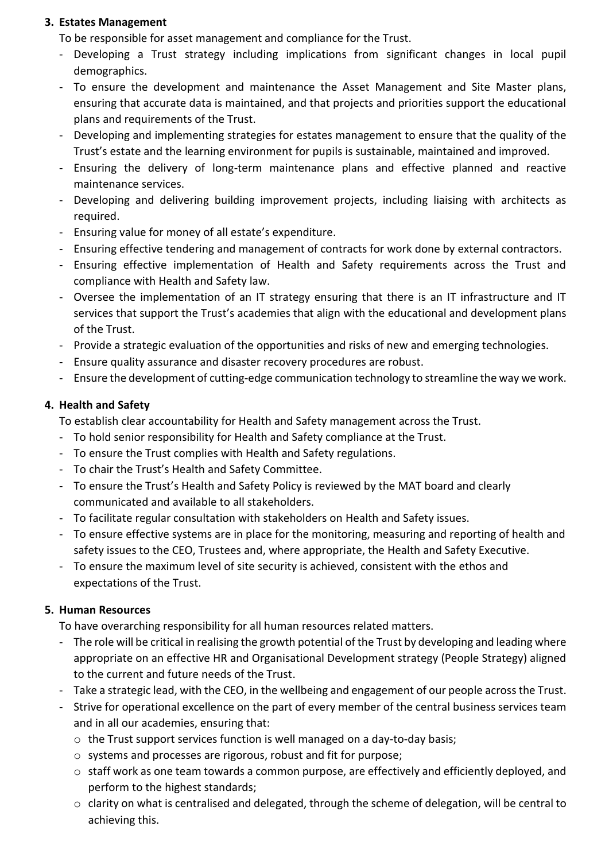#### **3. Estates Management**

To be responsible for asset management and compliance for the Trust.

- Developing a Trust strategy including implications from significant changes in local pupil demographics.
- To ensure the development and maintenance the Asset Management and Site Master plans, ensuring that accurate data is maintained, and that projects and priorities support the educational plans and requirements of the Trust.
- Developing and implementing strategies for estates management to ensure that the quality of the Trust's estate and the learning environment for pupils is sustainable, maintained and improved.
- Ensuring the delivery of long-term maintenance plans and effective planned and reactive maintenance services.
- Developing and delivering building improvement projects, including liaising with architects as required.
- Ensuring value for money of all estate's expenditure.
- Ensuring effective tendering and management of contracts for work done by external contractors.
- Ensuring effective implementation of Health and Safety requirements across the Trust and compliance with Health and Safety law.
- Oversee the implementation of an IT strategy ensuring that there is an IT infrastructure and IT services that support the Trust's academies that align with the educational and development plans of the Trust.
- Provide a strategic evaluation of the opportunities and risks of new and emerging technologies.
- Ensure quality assurance and disaster recovery procedures are robust.
- Ensure the development of cutting-edge communication technology to streamline the way we work.

# **4. Health and Safety**

To establish clear accountability for Health and Safety management across the Trust.

- To hold senior responsibility for Health and Safety compliance at the Trust.
- To ensure the Trust complies with Health and Safety regulations.
- To chair the Trust's Health and Safety Committee.
- To ensure the Trust's Health and Safety Policy is reviewed by the MAT board and clearly communicated and available to all stakeholders.
- To facilitate regular consultation with stakeholders on Health and Safety issues.
- To ensure effective systems are in place for the monitoring, measuring and reporting of health and safety issues to the CEO, Trustees and, where appropriate, the Health and Safety Executive.
- To ensure the maximum level of site security is achieved, consistent with the ethos and expectations of the Trust.

# **5. Human Resources**

To have overarching responsibility for all human resources related matters.

- The role will be critical in realising the growth potential of the Trust by developing and leading where appropriate on an effective HR and Organisational Development strategy (People Strategy) aligned to the current and future needs of the Trust.
- Take a strategic lead, with the CEO, in the wellbeing and engagement of our people across the Trust.
- Strive for operational excellence on the part of every member of the central business services team and in all our academies, ensuring that:
	- $\circ$  the Trust support services function is well managed on a day-to-day basis;
	- o systems and processes are rigorous, robust and fit for purpose;
	- $\circ$  staff work as one team towards a common purpose, are effectively and efficiently deployed, and perform to the highest standards;
	- $\circ$  clarity on what is centralised and delegated, through the scheme of delegation, will be central to achieving this.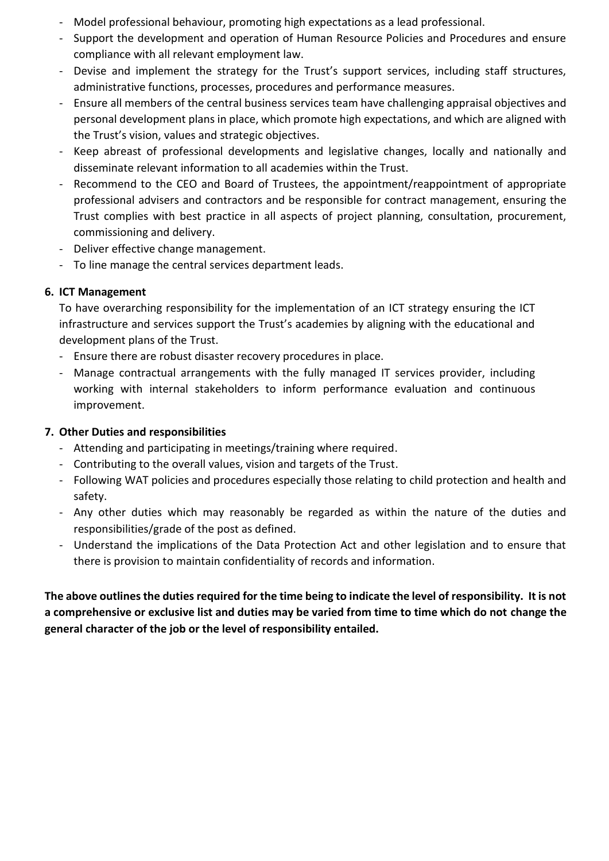- Model professional behaviour, promoting high expectations as a lead professional.
- Support the development and operation of Human Resource Policies and Procedures and ensure compliance with all relevant employment law.
- Devise and implement the strategy for the Trust's support services, including staff structures, administrative functions, processes, procedures and performance measures.
- Ensure all members of the central business services team have challenging appraisal objectives and personal development plans in place, which promote high expectations, and which are aligned with the Trust's vision, values and strategic objectives.
- Keep abreast of professional developments and legislative changes, locally and nationally and disseminate relevant information to all academies within the Trust.
- Recommend to the CEO and Board of Trustees, the appointment/reappointment of appropriate professional advisers and contractors and be responsible for contract management, ensuring the Trust complies with best practice in all aspects of project planning, consultation, procurement, commissioning and delivery.
- Deliver effective change management.
- To line manage the central services department leads.

## **6. ICT Management**

To have overarching responsibility for the implementation of an ICT strategy ensuring the ICT infrastructure and services support the Trust's academies by aligning with the educational and development plans of the Trust.

- Ensure there are robust disaster recovery procedures in place.
- Manage contractual arrangements with the fully managed IT services provider, including working with internal stakeholders to inform performance evaluation and continuous improvement.

# **7. Other Duties and responsibilities**

- Attending and participating in meetings/training where required.
- Contributing to the overall values, vision and targets of the Trust.
- Following WAT policies and procedures especially those relating to child protection and health and safety.
- Any other duties which may reasonably be regarded as within the nature of the duties and responsibilities/grade of the post as defined.
- Understand the implications of the Data Protection Act and other legislation and to ensure that there is provision to maintain confidentiality of records and information.

**The above outlines the duties required for the time being to indicate the level of responsibility. It is not a comprehensive or exclusive list and duties may be varied from time to time which do not change the general character of the job or the level of responsibility entailed.**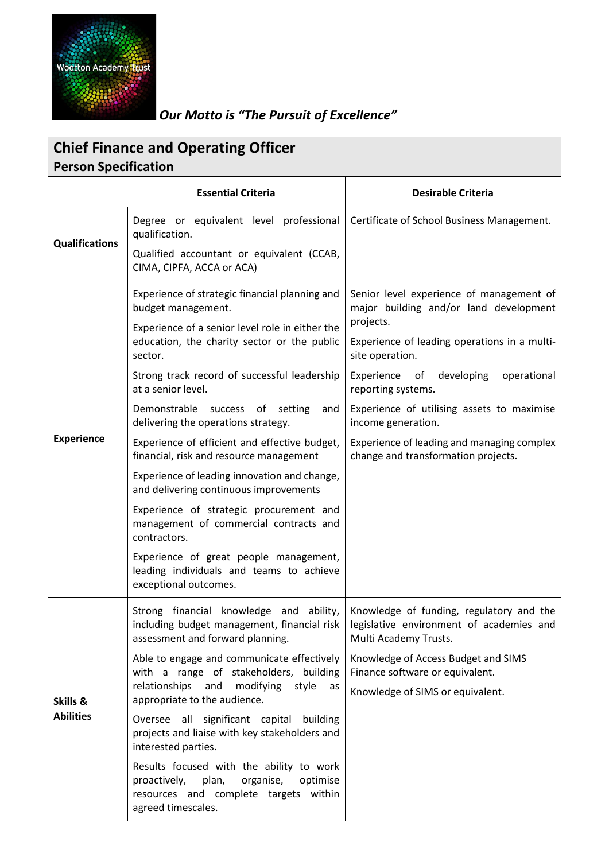

# *Our Motto is "The Pursuit of Excellence"*

| <b>Chief Finance and Operating Officer</b><br><b>Person Specification</b> |                                                                                                                                                           |                                                                                                               |  |
|---------------------------------------------------------------------------|-----------------------------------------------------------------------------------------------------------------------------------------------------------|---------------------------------------------------------------------------------------------------------------|--|
|                                                                           | <b>Essential Criteria</b>                                                                                                                                 | <b>Desirable Criteria</b>                                                                                     |  |
| <b>Qualifications</b>                                                     | Degree or equivalent level professional<br>qualification.                                                                                                 | Certificate of School Business Management.                                                                    |  |
|                                                                           | Qualified accountant or equivalent (CCAB,<br>CIMA, CIPFA, ACCA or ACA)                                                                                    |                                                                                                               |  |
| <b>Experience</b>                                                         | Experience of strategic financial planning and<br>budget management.                                                                                      | Senior level experience of management of<br>major building and/or land development                            |  |
|                                                                           | Experience of a senior level role in either the<br>education, the charity sector or the public<br>sector.                                                 | projects.<br>Experience of leading operations in a multi-<br>site operation.                                  |  |
|                                                                           | Strong track record of successful leadership<br>at a senior level.                                                                                        | Experience of developing<br>operational<br>reporting systems.                                                 |  |
|                                                                           | Demonstrable success of setting<br>and<br>delivering the operations strategy.                                                                             | Experience of utilising assets to maximise<br>income generation.                                              |  |
|                                                                           | Experience of efficient and effective budget,<br>financial, risk and resource management                                                                  | Experience of leading and managing complex<br>change and transformation projects.                             |  |
|                                                                           | Experience of leading innovation and change,<br>and delivering continuous improvements                                                                    |                                                                                                               |  |
|                                                                           | Experience of strategic procurement and<br>management of commercial contracts and<br>contractors.                                                         |                                                                                                               |  |
|                                                                           | Experience of great people management,<br>leading individuals and teams to achieve<br>exceptional outcomes.                                               |                                                                                                               |  |
| Skills &<br><b>Abilities</b>                                              | Strong financial knowledge and ability,<br>including budget management, financial risk<br>assessment and forward planning.                                | Knowledge of funding, regulatory and the<br>legislative environment of academies and<br>Multi Academy Trusts. |  |
|                                                                           | Able to engage and communicate effectively<br>with a range of stakeholders, building                                                                      | Knowledge of Access Budget and SIMS<br>Finance software or equivalent.                                        |  |
|                                                                           | relationships<br>and<br>modifying<br>style<br>as<br>appropriate to the audience.                                                                          | Knowledge of SIMS or equivalent.                                                                              |  |
|                                                                           | Oversee all significant capital building<br>projects and liaise with key stakeholders and<br>interested parties.                                          |                                                                                                               |  |
|                                                                           | Results focused with the ability to work<br>plan,<br>proactively,<br>organise,<br>optimise<br>resources and complete targets within<br>agreed timescales. |                                                                                                               |  |